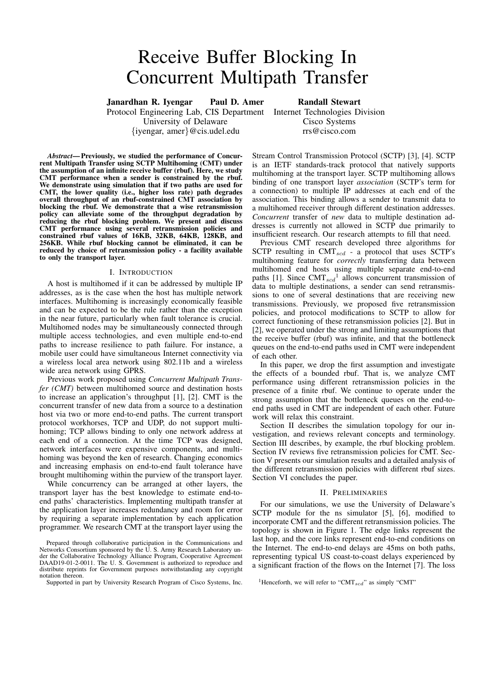# Receive Buffer Blocking In Concurrent Multipath Transfer

**Janardhan R. Iyengar Paul D. Amer Randall Stewart**

University of Delaware Cisco Systems *{*iyengar, amer*}*@cis.udel.edu rrs@cisco.com

Protocol Engineering Lab, CIS Department Internet Technologies Division

*Abstract***— Previously, we studied the performance of Concurrent Multipath Transfer using SCTP Multihoming (CMT) under the assumption of an infinite receive buffer (rbuf). Here, we study CMT performance when a sender is constrained by the rbuf. We demonstrate using simulation that if two paths are used for CMT, the lower quality (i.e., higher loss rate) path degrades overall throughput of an rbuf-constrained CMT association by blocking the rbuf. We demonstrate that a wise retransmission policy can alleviate some of the throughput degradation by reducing the rbuf blocking problem. We present and discuss CMT performance using several retransmission policies and constrained rbuf values of 16KB, 32KB, 64KB, 128KB, and 256KB. While rbuf blocking cannot be eliminated, it can be reduced by choice of retransmission policy - a facility available to only the transport layer.**

### I. INTRODUCTION

A host is multihomed if it can be addressed by multiple IP addresses, as is the case when the host has multiple network interfaces. Multihoming is increasingly economically feasible and can be expected to be the rule rather than the exception in the near future, particularly when fault tolerance is crucial. Multihomed nodes may be simultaneously connected through multiple access technologies, and even multiple end-to-end paths to increase resilience to path failure. For instance, a mobile user could have simultaneous Internet connectivity via a wireless local area network using 802.11b and a wireless wide area network using GPRS.

Previous work proposed using *Concurrent Multipath Transfer (CMT)* between multihomed source and destination hosts to increase an application's throughput [1], [2]. CMT is the concurrent transfer of new data from a source to a destination host via two or more end-to-end paths. The current transport protocol workhorses, TCP and UDP, do not support multihoming; TCP allows binding to only one network address at each end of a connection. At the time TCP was designed, network interfaces were expensive components, and multihoming was beyond the ken of research. Changing economics and increasing emphasis on end-to-end fault tolerance have brought multihoming within the purview of the transport layer.

While concurrency can be arranged at other layers, the transport layer has the best knowledge to estimate end-toend paths' characteristics. Implementing multipath transfer at the application layer increases redundancy and room for error by requiring a separate implementation by each application programmer. We research CMT at the transport layer using the Stream Control Transmission Protocol (SCTP) [3], [4]. SCTP is an IETF standards-track protocol that natively supports multihoming at the transport layer. SCTP multihoming allows binding of one transport layer *association* (SCTP's term for a connection) to multiple IP addresses at each end of the association. This binding allows a sender to transmit data to a multihomed receiver through different destination addresses. *Concurrent* transfer of *new* data to multiple destination addresses is currently not allowed in SCTP due primarily to insufficient research. Our research attempts to fill that need.

Previous CMT research developed three algorithms for SCTP resulting in CMT*scd* - a protocol that uses SCTP's multihoming feature for *correctly* transferring data between multihomed end hosts using multiple separate end-to-end paths [1]. Since CMT*scd* <sup>1</sup> allows concurrent transmission of data to multiple destinations, a sender can send retransmissions to one of several destinations that are receiving new transmissions. Previously, we proposed five retransmission policies, and protocol modifications to SCTP to allow for correct functioning of these retransmission policies [2]. But in [2], we operated under the strong and limiting assumptions that the receive buffer (rbuf) was infinite, and that the bottleneck queues on the end-to-end paths used in CMT were independent of each other.

In this paper, we drop the first assumption and investigate the effects of a bounded rbuf. That is, we analyze CMT performance using different retransmission policies in the presence of a finite rbuf. We continue to operate under the strong assumption that the bottleneck queues on the end-toend paths used in CMT are independent of each other. Future work will relax this constraint.

Section II describes the simulation topology for our investigation, and reviews relevant concepts and terminology. Section III describes, by example, the rbuf blocking problem. Section IV reviews five retransmission policies for CMT. Section V presents our simulation results and a detailed analysis of the different retransmission policies with different rbuf sizes. Section VI concludes the paper.

#### II. PRELIMINARIES

For our simulations, we use the University of Delaware's SCTP module for the ns simulator [5], [6], modified to incorporate CMT and the different retransmission policies. The topology is shown in Figure 1. The edge links represent the last hop, and the core links represent end-to-end conditions on the Internet. The end-to-end delays are 45ms on both paths, representing typical US coast-to-coast delays experienced by a significant fraction of the flows on the Internet [7]. The loss

Prepared through collaborative participation in the Communications and Networks Consortium sponsored by the U. S. Army Research Laboratory under the Collaborative Technology Alliance Program, Cooperative Agreement DAAD19-01-2-0011. The U. S. Government is authorized to reproduce and distribute reprints for Government purposes notwithstanding any copyright notation thereon.

Supported in part by University Research Program of Cisco Systems, Inc.

<sup>&</sup>lt;sup>1</sup>Henceforth, we will refer to "CMT<sub>scd</sub>" as simply "CMT"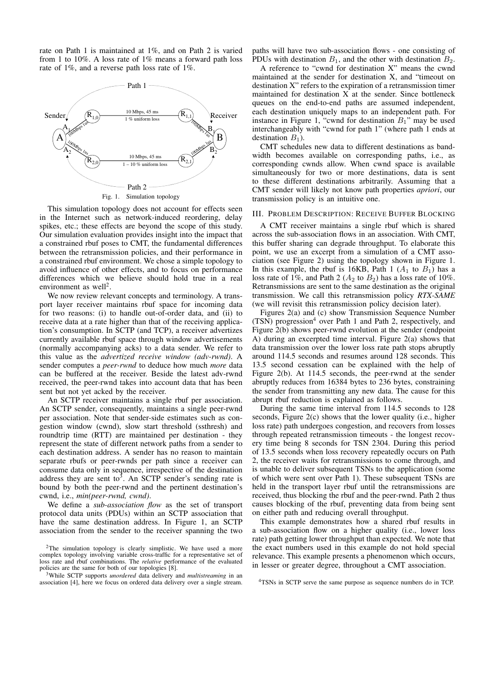rate on Path 1 is maintained at 1%, and on Path 2 is varied from 1 to 10%. A loss rate of 1% means a forward path loss rate of 1%, and a reverse path loss rate of 1%.



This simulation topology does not account for effects seen in the Internet such as network-induced reordering, delay spikes, etc.; these effects are beyond the scope of this study. Our simulation evaluation provides insight into the impact that a constrained rbuf poses to CMT, the fundamental differences between the retransmission policies, and their performance in a constrained rbuf environment. We chose a simple topology to avoid influence of other effects, and to focus on performance differences which we believe should hold true in a real environment as well<sup>2</sup>.

We now review relevant concepts and terminology. A transport layer receiver maintains rbuf space for incoming data for two reasons: (i) to handle out-of-order data, and (ii) to receive data at a rate higher than that of the receiving application's consumption. In SCTP (and TCP), a receiver advertizes currently available rbuf space through window advertisements (normally accompanying acks) to a data sender. We refer to this value as the *advertized receive window (adv-rwnd)*. A sender computes a *peer-rwnd* to deduce how much *more* data can be buffered at the receiver. Beside the latest adv-rwnd received, the peer-rwnd takes into account data that has been sent but not yet acked by the receiver.

An SCTP receiver maintains a single rbuf per association. An SCTP sender, consequently, maintains a single peer-rwnd per association. Note that sender-side estimates such as congestion window (cwnd), slow start threshold (ssthresh) and roundtrip time (RTT) are maintained per destination - they represent the state of different network paths from a sender to each destination address. A sender has no reason to maintain separate rbufs or peer-rwnds per path since a receiver can consume data only in sequence, irrespective of the destination address they are sent to<sup>3</sup>. An SCTP sender's sending rate is bound by both the peer-rwnd and the pertinent destination's cwnd, i.e., *min(peer-rwnd, cwnd)*.

We define a *sub-association flow* as the set of transport protocol data units (PDUs) within an SCTP association that have the same destination address. In Figure 1, an SCTP association from the sender to the receiver spanning the two

3While SCTP supports *unordered* data delivery and *multistreaming* in an association [4], here we focus on ordered data delivery over a single stream. paths will have two sub-association flows - one consisting of PDUs with destination  $B_1$ , and the other with destination  $B_2$ .

A reference to "cwnd for destination X" means the cwnd maintained at the sender for destination X, and "timeout on destination X" refers to the expiration of a retransmission timer maintained for destination X at the sender. Since bottleneck queues on the end-to-end paths are assumed independent, each destination uniquely maps to an independent path. For instance in Figure 1, "cwnd for destination *<sup>B</sup>*1" may be used interchangeably with "cwnd for path 1" (where path 1 ends at destination  $B_1$ ).

CMT schedules new data to different destinations as bandwidth becomes available on corresponding paths, i.e., as corresponding cwnds allow. When cwnd space is available simultaneously for two or more destinations, data is sent to these different destinations arbitrarily. Assuming that a CMT sender will likely not know path properties *apriori*, our transmission policy is an intuitive one.

## III. PROBLEM DESCRIPTION: RECEIVE BUFFER BLOCKING

A CMT receiver maintains a single rbuf which is shared across the sub-association flows in an association. With CMT, this buffer sharing can degrade throughput. To elaborate this point, we use an excerpt from a simulation of a CMT association (see Figure 2) using the topology shown in Figure 1. In this example, the rbuf is 16KB, Path 1  $(A_1$  to  $B_1$ ) has a loss rate of 1%, and Path 2  $(A_2 \text{ to } B_2)$  has a loss rate of 10%. Retransmissions are sent to the same destination as the original transmission. We call this retransmission policy *RTX-SAME* (we will revisit this retransmission policy decision later).

Figures 2(a) and (c) show Transmission Sequence Number (TSN) progression<sup>4</sup> over Path 1 and Path 2, respectively, and Figure 2(b) shows peer-rwnd evolution at the sender (endpoint A) during an excerpted time interval. Figure 2(a) shows that data transmission over the lower loss rate path stops abruptly around 114.5 seconds and resumes around 128 seconds. This 13.5 second cessation can be explained with the help of Figure 2(b). At 114.5 seconds, the peer-rwnd at the sender abruptly reduces from 16384 bytes to 236 bytes, constraining the sender from transmitting any new data. The cause for this abrupt rbuf reduction is explained as follows.

During the same time interval from 114.5 seconds to 128 seconds, Figure 2(c) shows that the lower quality (i.e., higher loss rate) path undergoes congestion, and recovers from losses through repeated retransmission timeouts - the longest recovery time being 8 seconds for TSN 2304. During this period of 13.5 seconds when loss recovery repeatedly occurs on Path 2, the receiver waits for retransmissions to come through, and is unable to deliver subsequent TSNs to the application (some of which were sent over Path 1). These subsequent TSNs are held in the transport layer rbuf until the retransmissions are received, thus blocking the rbuf and the peer-rwnd. Path 2 thus causes blocking of the rbuf, preventing data from being sent on either path and reducing overall throughput.

This example demonstrates how a shared rbuf results in a sub-association flow on a higher quality (i.e., lower loss rate) path getting lower throughput than expected. We note that the exact numbers used in this example do not hold special relevance. This example presents a phenomenon which occurs, in lesser or greater degree, throughout a CMT association.

 $2$ The simulation topology is clearly simplistic. We have used a more complex topology involving variable cross-traffic for a representative set of loss rate and rbuf combinations. The *relative* performance of the evaluated policies are the same for both of our topologies [8].

<sup>4</sup>TSNs in SCTP serve the same purpose as sequence numbers do in TCP.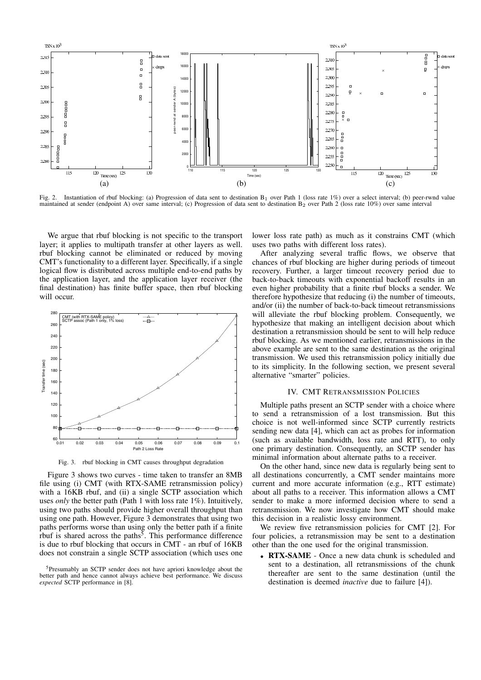

Fig. 2. Instantiation of rbuf blocking: (a) Progression of data sent to destination  $B_1$  over Path 1 (loss rate 1%) over a select interval; (b) peer-rwnd value maintained at sender (endpoint A) over same interval; (c) Progression of data sent to destination  $B_2$  over Path 2 (loss rate 10%) over same interval

We argue that rbuf blocking is not specific to the transport layer; it applies to multipath transfer at other layers as well. rbuf blocking cannot be eliminated or reduced by moving CMT's functionality to a different layer. Specifically, if a single logical flow is distributed across multiple end-to-end paths by the application layer, and the application layer receiver (the final destination) has finite buffer space, then rbuf blocking will occur.



Fig. 3. rbuf blocking in CMT causes throughput degradation

Figure 3 shows two curves - time taken to transfer an 8MB file using (i) CMT (with RTX-SAME retransmission policy) with a 16KB rbuf, and (ii) a single SCTP association which uses *only* the better path (Path 1 with loss rate 1%). Intuitively, using two paths should provide higher overall throughput than using one path. However, Figure 3 demonstrates that using two paths performs worse than using only the better path if a finite rbuf is shared across the paths<sup>5</sup>. This performance difference is due to rbuf blocking that occurs in CMT - an rbuf of 16KB does not constrain a single SCTP association (which uses one

lower loss rate path) as much as it constrains CMT (which uses two paths with different loss rates).

After analyzing several traffic flows, we observe that chances of rbuf blocking are higher during periods of timeout recovery. Further, a larger timeout recovery period due to back-to-back timeouts with exponential backoff results in an even higher probability that a finite rbuf blocks a sender. We therefore hypothesize that reducing (i) the number of timeouts, and/or (ii) the number of back-to-back timeout retransmissions will alleviate the rbuf blocking problem. Consequently, we hypothesize that making an intelligent decision about which destination a retransmission should be sent to will help reduce rbuf blocking. As we mentioned earlier, retransmissions in the above example are sent to the same destination as the original transmission. We used this retransmission policy initially due to its simplicity. In the following section, we present several alternative "smarter" policies.

#### IV. CMT RETRANSMISSION POLICIES

Multiple paths present an SCTP sender with a choice where to send a retransmission of a lost transmission. But this choice is not well-informed since SCTP currently restricts sending new data [4], which can act as probes for information (such as available bandwidth, loss rate and RTT), to only one primary destination. Consequently, an SCTP sender has minimal information about alternate paths to a receiver.

On the other hand, since new data is regularly being sent to all destinations concurrently, a CMT sender maintains more current and more accurate information (e.g., RTT estimate) about all paths to a receiver. This information allows a CMT sender to make a more informed decision where to send a retransmission. We now investigate how CMT should make this decision in a realistic lossy environment.

We review five retransmission policies for CMT [2]. For four policies, a retransmission may be sent to a destination other than the one used for the original transmission.

• **RTX-SAME** - Once a new data chunk is scheduled and sent to a destination, all retransmissions of the chunk thereafter are sent to the same destination (until the destination is deemed *inactive* due to failure [4]).

<sup>5</sup>Presumably an SCTP sender does not have apriori knowledge about the better path and hence cannot always achieve best performance. We discuss *expected* SCTP performance in [8].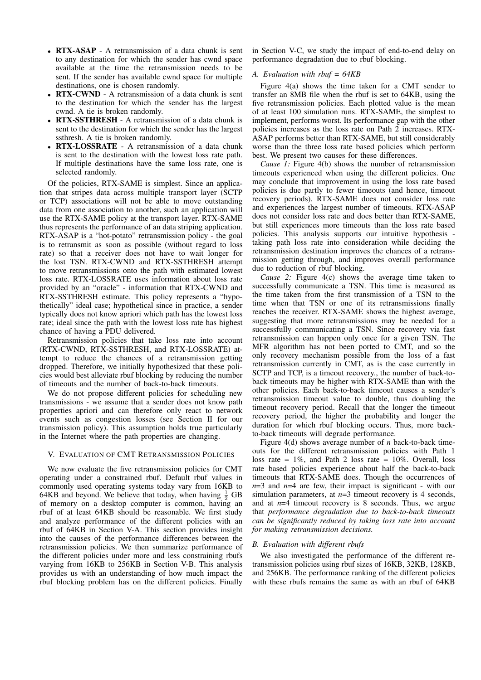- *•* **RTX-ASAP** A retransmission of a data chunk is sent to any destination for which the sender has cwnd space available at the time the retransmission needs to be sent. If the sender has available cwnd space for multiple destinations, one is chosen randomly.
- *•* **RTX-CWND** A retransmission of a data chunk is sent to the destination for which the sender has the largest cwnd. A tie is broken randomly.
- *•* **RTX-SSTHRESH** A retransmission of a data chunk is sent to the destination for which the sender has the largest ssthresh. A tie is broken randomly.
- *•* **RTX-LOSSRATE** A retransmission of a data chunk is sent to the destination with the lowest loss rate path. If multiple destinations have the same loss rate, one is selected randomly.

Of the policies, RTX-SAME is simplest. Since an application that stripes data across multiple transport layer (SCTP or TCP) associations will not be able to move outstanding data from one association to another, such an application will use the RTX-SAME policy at the transport layer. RTX-SAME thus represents the performance of an data striping application. RTX-ASAP is a "hot-potato" retransmission policy - the goal is to retransmit as soon as possible (without regard to loss rate) so that a receiver does not have to wait longer for the lost TSN. RTX-CWND and RTX-SSTHRESH attempt to move retransmissions onto the path with estimated lowest loss rate. RTX-LOSSRATE uses information about loss rate provided by an "oracle" - information that RTX-CWND and RTX-SSTHRESH estimate. This policy represents a "hypothetically" ideal case; hypothetical since in practice, a sender typically does not know apriori which path has the lowest loss rate; ideal since the path with the lowest loss rate has highest chance of having a PDU delivered.

Retransmission policies that take loss rate into account (RTX-CWND, RTX-SSTHRESH, and RTX-LOSSRATE) attempt to reduce the chances of a retransmission getting dropped. Therefore, we initially hypothesized that these policies would best alleviate rbuf blocking by reducing the number of timeouts and the number of back-to-back timeouts.

We do not propose different policies for scheduling new transmissions - we assume that a sender does not know path properties apriori and can therefore only react to network events such as congestion losses (see Section II for our transmission policy). This assumption holds true particularly in the Internet where the path properties are changing.

#### V. EVALUATION OF CMT RETRANSMISSION POLICIES

We now evaluate the five retransmission policies for CMT operating under a constrained rbuf. Default rbuf values in commonly used operating systems today vary from 16KB to 64KB and beyond. We believe that today, when having  $\frac{1}{2}$  GB of memory on a desktop computer is common, having an rbuf of at least 64KB should be reasonable. We first study and analyze performance of the different policies with an rbuf of 64KB in Section V-A. This section provides insight into the causes of the performance differences between the retransmission policies. We then summarize performance of the different policies under more and less constraining rbufs varying from 16KB to 256KB in Section V-B. This analysis provides us with an understanding of how much impact the rbuf blocking problem has on the different policies. Finally

in Section V-C, we study the impact of end-to-end delay on performance degradation due to rbuf blocking.

#### *A. Evaluation with rbuf = 64KB*

Figure 4(a) shows the time taken for a CMT sender to transfer an 8MB file when the rbuf is set to 64KB, using the five retransmission policies. Each plotted value is the mean of at least 100 simulation runs. RTX-SAME, the simplest to implement, performs worst. Its performance gap with the other policies increases as the loss rate on Path 2 increases. RTX-ASAP performs better than RTX-SAME, but still considerably worse than the three loss rate based policies which perform best. We present two causes for these differences.

*Cause 1:* Figure 4(b) shows the number of retransmission timeouts experienced when using the different policies. One may conclude that improvement in using the loss rate based policies is due partly to fewer timeouts (and hence, timeout recovery periods). RTX-SAME does not consider loss rate and experiences the largest number of timeouts. RTX-ASAP does not consider loss rate and does better than RTX-SAME, but still experiences more timeouts than the loss rate based policies. This analysis supports our intuitive hypothesis taking path loss rate into consideration while deciding the retransmission destination improves the chances of a retransmission getting through, and improves overall performance due to reduction of rbuf blocking.

*Cause 2:* Figure 4(c) shows the average time taken to successfully communicate a TSN. This time is measured as the time taken from the first transmission of a TSN to the time when that TSN or one of its retransmissions finally reaches the receiver. RTX-SAME shows the highest average, suggesting that more retransmissions may be needed for a successfully communicating a TSN. Since recovery via fast retransmission can happen only once for a given TSN. The MFR algorithm has not been ported to CMT, and so the only recovery mechanism possible from the loss of a fast retransmission currently in CMT, as is the case currently in SCTP and TCP, is a timeout recovery., the number of back-toback timeouts may be higher with RTX-SAME than with the other policies. Each back-to-back timeout causes a sender's retransmission timeout value to double, thus doubling the timeout recovery period. Recall that the longer the timeout recovery period, the higher the probability and longer the duration for which rbuf blocking occurs. Thus, more backto-back timeouts will degrade performance.

Figure 4(d) shows average number of *n* back-to-back timeouts for the different retransmission policies with Path 1 loss rate  $= 1\%$ , and Path 2 loss rate  $= 10\%$ . Overall, loss rate based policies experience about half the back-to-back timeouts that RTX-SAME does. Though the occurrences of *n*=3 and *n*=4 are few, their impact is significant - with our simulation parameters, at  $n=3$  timeout recovery is 4 seconds, and at  $n=4$  timeout recovery is 8 seconds. Thus, we argue that *performance degradation due to back-to-back timeouts can be significantly reduced by taking loss rate into account for making retransmission decisions.*

## *B. Evaluation with different rbufs*

We also investigated the performance of the different retransmission policies using rbuf sizes of 16KB, 32KB, 128KB, and 256KB. The performance ranking of the different policies with these rbufs remains the same as with an rbuf of 64KB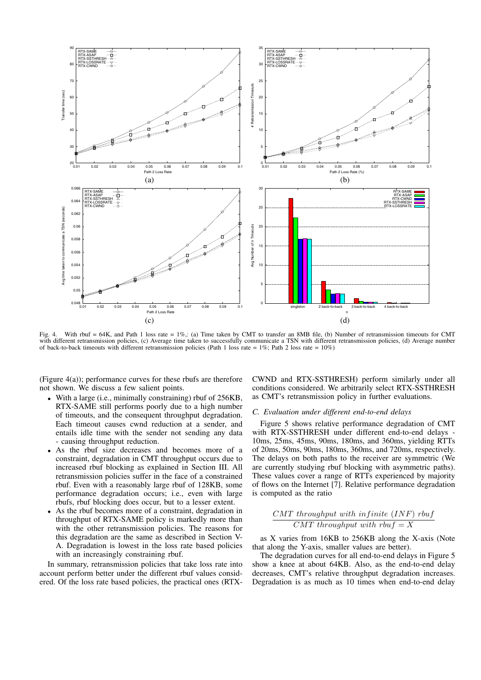

Fig. 4. With rbuf = 64K, and Path 1 loss rate = 1%; (a) Time taken by CMT to transfer an 8MB file, (b) Number of retransmission timeouts for CMT with different retransmission policies, (c) Average time taken to successfully communicate a TSN with different retransmission policies, (d) Average number of back-to-back timeouts with different retransmission policies (Path 1 loss rate =  $1\%$ ; Path 2 loss rate =  $10\%$ )

(Figure 4(a)); performance curves for these rbufs are therefore not shown. We discuss a few salient points.

- With a large (i.e., minimally constraining) rbuf of 256KB, RTX-SAME still performs poorly due to a high number of timeouts, and the consequent throughput degradation. Each timeout causes cwnd reduction at a sender, and entails idle time with the sender not sending any data - causing throughput reduction.
- As the rbuf size decreases and becomes more of a constraint, degradation in CMT throughput occurs due to increased rbuf blocking as explained in Section III. All retransmission policies suffer in the face of a constrained rbuf. Even with a reasonably large rbuf of 128KB, some performance degradation occurs; i.e., even with large rbufs, rbuf blocking does occur, but to a lesser extent.
- *•* As the rbuf becomes more of a constraint, degradation in throughput of RTX-SAME policy is markedly more than with the other retransmission policies. The reasons for this degradation are the same as described in Section V-A. Degradation is lowest in the loss rate based policies with an increasingly constraining rbuf.

In summary, retransmission policies that take loss rate into account perform better under the different rbuf values considered. Of the loss rate based policies, the practical ones (RTX-

CWND and RTX-SSTHRESH) perform similarly under all conditions considered. We arbitrarily select RTX-SSTHRESH as CMT's retransmission policy in further evaluations.

#### *C. Evaluation under different end-to-end delays*

Figure 5 shows relative performance degradation of CMT with RTX-SSTHRESH under different end-to-end delays - 10ms, 25ms, 45ms, 90ms, 180ms, and 360ms, yielding RTTs of 20ms, 50ms, 90ms, 180ms, 360ms, and 720ms, respectively. The delays on both paths to the receiver are symmetric (We are currently studying rbuf blocking with asymmetric paths). These values cover a range of RTTs experienced by majority of flows on the Internet [7]. Relative performance degradation is computed as the ratio

$$
\frac{CMT~throughput~with~infinite~(INF)~rbuf}{CMT~throughput~with~rbuf=X}
$$

as X varies from 16KB to 256KB along the X-axis (Note that along the Y-axis, smaller values are better).

The degradation curves for all end-to-end delays in Figure 5 show a knee at about 64KB. Also, as the end-to-end delay decreases, CMT's relative throughput degradation increases. Degradation is as much as 10 times when end-to-end delay